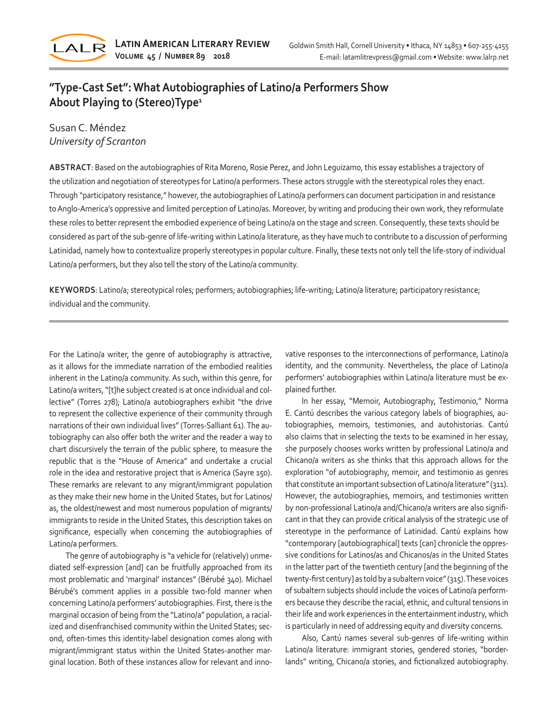

# **"Type-Cast Set": What Autobiographies of Latino/a Performers Show About Playing to (Stereo)Type<sup>1</sup>**

# Susan C. Méndez *University of Scranton*

**ABSTRACT**: Based on the autobiographies of Rita Moreno, Rosie Perez, and John Leguizamo, this essay establishes a trajectory of the utilization and negotiation of stereotypes for Latino/a performers. These actors struggle with the stereotypical roles they enact. Through "participatory resistance," however, the autobiographies of Latino/a performers can document participation in and resistance to Anglo-America's oppressive and limited perception of Latino/as. Moreover, by writing and producing their own work, they reformulate these roles to better represent the embodied experience of being Latino/a on the stage and screen. Consequently, these texts should be considered as part of the sub-genre of life-writing within Latino/a literature, as they have much to contribute to a discussion of performing Latinidad, namely how to contextualize properly stereotypes in popular culture. Finally, these texts not only tell the life-story of individual Latino/a performers, but they also tell the story of the Latino/a community.

**KEYWORDS**: Latino/a; stereotypical roles; performers; autobiographies; life-writing; Latino/a literature; participatory resistance; individual and the community.

For the Latino/a writer, the genre of autobiography is attractive, as it allows for the immediate narration of the embodied realities inherent in the Latino/a community. As such, within this genre, for Latino/a writers, "[t]he subject created is at once individual and collective" (Torres 278); Latino/a autobiographers exhibit "the drive to represent the collective experience of their community through narrations of their own individual lives" (Torres-Salliant 61). The autobiography can also offer both the writer and the reader a way to chart discursively the terrain of the public sphere, to measure the republic that is the "House of America" and undertake a crucial role in the idea and restorative project that is America (Sayre 150). These remarks are relevant to any migrant/immigrant population as they make their new home in the United States, but for Latinos/ as, the oldest/newest and most numerous population of migrants/ immigrants to reside in the United States, this description takes on significance, especially when concerning the autobiographies of Latino/a performers.

The genre of autobiography is "a vehicle for (relatively) unmediated self-expression [and] can be fruitfully approached from its most problematic and 'marginal' instances" (Bérubé 340). Michael Bérubé's comment applies in a possible two-fold manner when concerning Latino/a performers' autobiographies. First, there is the marginal occasion of being from the "Latino/a" population, a racialized and disenfranchised community within the United States; second, often-times this identity-label designation comes along with migrant/immigrant status within the United States-another marginal location. Both of these instances allow for relevant and innovative responses to the interconnections of performance, Latino/a identity, and the community. Nevertheless, the place of Latino/a performers' autobiographies within Latino/a literature must be explained further.

In her essay, "Memoir, Autobiography, Testimonio," Norma E. Cantú describes the various category labels of biographies, autobiographies, memoirs, testimonies, and autohistorias. Cantú also claims that in selecting the texts to be examined in her essay, she purposely chooses works written by professional Latino/a and Chicano/a writers as she thinks that this approach allows for the exploration "of autobiography, memoir, and testimonio as genres that constitute an important subsection of Latino/a literature" (311). However, the autobiographies, memoirs, and testimonies written by non-professional Latino/a and/Chicano/a writers are also significant in that they can provide critical analysis of the strategic use of stereotype in the performance of Latinidad. Cantú explains how "contemporary [autobiographical] texts [can] chronicle the oppressive conditions for Latinos/as and Chicanos/as in the United States in the latter part of the twentieth century [and the beginning of the twenty-first century] as told by a subaltern voice" (315). These voices of subaltern subjects should include the voices of Latino/a performers because they describe the racial, ethnic, and cultural tensions in their life and work experiences in the entertainment industry, which is particularly in need of addressing equity and diversity concerns.

Also, Cantú names several sub-genres of life-writing within Latino/a literature: immigrant stories, gendered stories, "borderlands" writing, Chicano/a stories, and fictionalized autobiography.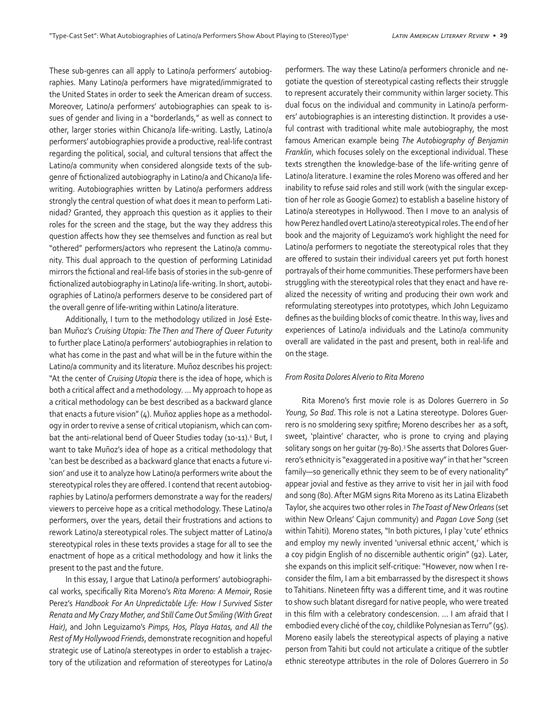These sub-genres can all apply to Latino/a performers' autobiographies. Many Latino/a performers have migrated/immigrated to the United States in order to seek the American dream of success. Moreover, Latino/a performers' autobiographies can speak to issues of gender and living in a "borderlands," as well as connect to other, larger stories within Chicano/a life-writing. Lastly, Latino/a performers' autobiographies provide a productive, real-life contrast regarding the political, social, and cultural tensions that affect the Latino/a community when considered alongside texts of the subgenre of fictionalized autobiography in Latino/a and Chicano/a lifewriting. Autobiographies written by Latino/a performers address strongly the central question of what does it mean to perform Latinidad? Granted, they approach this question as it applies to their roles for the screen and the stage, but the way they address this question affects how they see themselves and function as real but "othered" performers/actors who represent the Latino/a community. This dual approach to the question of performing Latinidad mirrors the fictional and real-life basis of stories in the sub-genre of fictionalized autobiography in Latino/a life-writing. In short, autobiographies of Latino/a performers deserve to be considered part of the overall genre of life-writing within Latino/a literature.

Additionally, I turn to the methodology utilized in José Esteban Muñoz's *Cruising Utopia: The Then and There of Queer Futurity* to further place Latino/a performers' autobiographies in relation to what has come in the past and what will be in the future within the Latino/a community and its literature. Muñoz describes his project: "At the center of *Cruising Utopia* there is the idea of hope, which is both a critical affect and a methodology. … My approach to hope as a critical methodology can be best described as a backward glance that enacts a future vision" (4). Muñoz applies hope as a methodology in order to revive a sense of critical utopianism, which can combat the anti-relational bend of Queer Studies today (10-11).<sup>2</sup> But, I want to take Muñoz's idea of hope as a critical methodology that 'can best be described as a backward glance that enacts a future vision' and use it to analyze how Latino/a performers write about the stereotypical roles they are offered. I contend that recent autobiographies by Latino/a performers demonstrate a way for the readers/ viewers to perceive hope as a critical methodology. These Latino/a performers, over the years, detail their frustrations and actions to rework Latino/a stereotypical roles. The subject matter of Latino/a stereotypical roles in these texts provides a stage for all to see the enactment of hope as a critical methodology and how it links the present to the past and the future.

In this essay, I argue that Latino/a performers' autobiographical works, specifically Rita Moreno's *Rita Moreno: A Memoir*, Rosie Perez's *Handbook For An Unpredictable Life: How I Survived Sister Renata and My Crazy Mother, and Still Came Out Smiling (With Great Hair)*, and John Leguizamo's *Pimps, Hos, Playa Hatas, and All the Rest of My Hollywood Friends*, demonstrate recognition and hopeful strategic use of Latino/a stereotypes in order to establish a trajectory of the utilization and reformation of stereotypes for Latino/a

performers. The way these Latino/a performers chronicle and negotiate the question of stereotypical casting reflects their struggle to represent accurately their community within larger society. This dual focus on the individual and community in Latino/a performers' autobiographies is an interesting distinction. It provides a useful contrast with traditional white male autobiography, the most famous American example being *The Autobiography of Benjamin Franklin*, which focuses solely on the exceptional individual. These texts strengthen the knowledge-base of the life-writing genre of Latino/a literature. I examine the roles Moreno was offered and her inability to refuse said roles and still work (with the singular exception of her role as Googie Gomez) to establish a baseline history of Latino/a stereotypes in Hollywood. Then I move to an analysis of how Perez handled overt Latino/a stereotypical roles. The end of her book and the majority of Leguizamo's work highlight the need for Latino/a performers to negotiate the stereotypical roles that they are offered to sustain their individual careers yet put forth honest portrayals of their home communities. These performers have been struggling with the stereotypical roles that they enact and have realized the necessity of writing and producing their own work and reformulating stereotypes into prototypes, which John Leguizamo defines as the building blocks of comic theatre. In this way, lives and experiences of Latino/a individuals and the Latino/a community overall are validated in the past and present, both in real-life and on the stage.

#### *From Rosita Dolores Alverio to Rita Moreno*

Rita Moreno's first movie role is as Dolores Guerrero in *So Young, So Bad*. This role is not a Latina stereotype. Dolores Guerrero is no smoldering sexy spitfire; Moreno describes her as a soft, sweet, 'plaintive' character, who is prone to crying and playing solitary songs on her guitar (79-80).<sup>3</sup> She asserts that Dolores Guerrero's ethnicity is "exaggerated in a positive way" in that her "screen family—so generically ethnic they seem to be of every nationality" appear jovial and festive as they arrive to visit her in jail with food and song (80). After MGM signs Rita Moreno as its Latina Elizabeth Taylor, she acquires two other roles in *The Toast of New Orleans* (set within New Orleans' Cajun community) and *Pagan Love Song* (set within Tahiti)*.* Moreno states, "In both pictures, I play 'cute' ethnics and employ my newly invented 'universal ethnic accent,' which is a coy pidgin English of no discernible authentic origin" (92). Later, she expands on this implicit self-critique: "However, now when I reconsider the film, I am a bit embarrassed by the disrespect it shows to Tahitians. Nineteen fifty was a different time, and it was routine to show such blatant disregard for native people, who were treated in this film with a celebratory condescension. … I am afraid that I embodied every cliché of the coy, childlike Polynesian as Terru" (95). Moreno easily labels the stereotypical aspects of playing a native person from Tahiti but could not articulate a critique of the subtler ethnic stereotype attributes in the role of Dolores Guerrero in *So*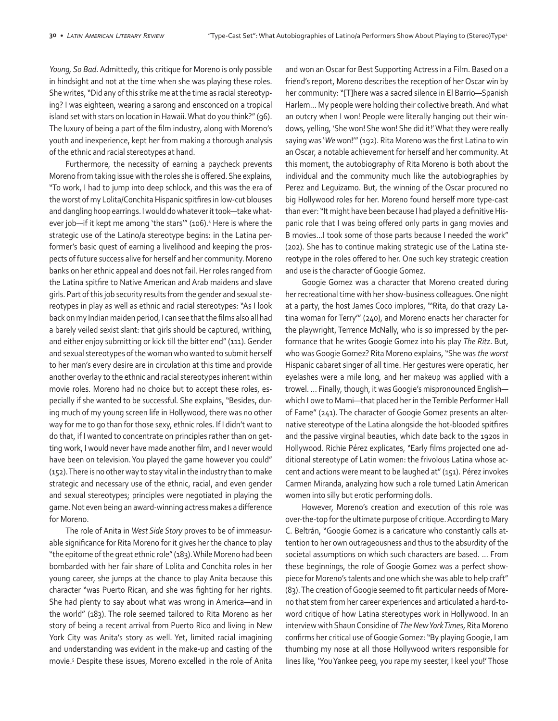*Young, So Bad*. Admittedly, this critique for Moreno is only possible in hindsight and not at the time when she was playing these roles. She writes, "Did any of this strike me at the time as racial stereotyping? I was eighteen, wearing a sarong and ensconced on a tropical island set with stars on location in Hawaii. What do you think?" (96). The luxury of being a part of the film industry, along with Moreno's youth and inexperience, kept her from making a thorough analysis of the ethnic and racial stereotypes at hand.

Furthermore, the necessity of earning a paycheck prevents Moreno from taking issue with the roles she is offered. She explains, "To work, I had to jump into deep schlock, and this was the era of the worst of my Lolita/Conchita Hispanic spitfires in low-cut blouses and dangling hoop earrings. I would do whatever it took—take whatever job—if it kept me among 'the stars'" (106).4 Here is where the strategic use of the Latino/a stereotype begins: in the Latina performer's basic quest of earning a livelihood and keeping the prospects of future success alive for herself and her community. Moreno banks on her ethnic appeal and does not fail. Her roles ranged from the Latina spitfire to Native American and Arab maidens and slave girls. Part of this job security results from the gender and sexual stereotypes in play as well as ethnic and racial stereotypes: "As I look back on my Indian maiden period, I can see that the films also all had a barely veiled sexist slant: that girls should be captured, writhing, and either enjoy submitting or kick till the bitter end" (111). Gender and sexual stereotypes of the woman who wanted to submit herself to her man's every desire are in circulation at this time and provide another overlay to the ethnic and racial stereotypes inherent within movie roles. Moreno had no choice but to accept these roles, especially if she wanted to be successful. She explains, "Besides, during much of my young screen life in Hollywood, there was no other way for me to go than for those sexy, ethnic roles. If I didn't want to do that, if I wanted to concentrate on principles rather than on getting work, I would never have made another film, and I never would have been on television. You played the game however you could" (152). There is no other way to stay vital in the industry than to make strategic and necessary use of the ethnic, racial, and even gender and sexual stereotypes; principles were negotiated in playing the game. Not even being an award-winning actress makes a difference for Moreno.

The role of Anita in *West Side Story* proves to be of immeasurable significance for Rita Moreno for it gives her the chance to play "the epitome of the great ethnic role" (183). While Moreno had been bombarded with her fair share of Lolita and Conchita roles in her young career, she jumps at the chance to play Anita because this character "was Puerto Rican, and she was fighting for her rights. She had plenty to say about what was wrong in America—and in the world" (183). The role seemed tailored to Rita Moreno as her story of being a recent arrival from Puerto Rico and living in New York City was Anita's story as well. Yet, limited racial imagining and understanding was evident in the make-up and casting of the movie.5 Despite these issues, Moreno excelled in the role of Anita and won an Oscar for Best Supporting Actress in a Film. Based on a friend's report, Moreno describes the reception of her Oscar win by her community: "[T]here was a sacred silence in El Barrio—Spanish Harlem… My people were holding their collective breath. And what an outcry when I won! People were literally hanging out their windows, yelling, 'She won! She won! She did it!' What they were really saying was '*We* won!'" (192). Rita Moreno was the first Latina to win an Oscar, a notable achievement for herself and her community. At this moment, the autobiography of Rita Moreno is both about the individual and the community much like the autobiographies by Perez and Leguizamo. But, the winning of the Oscar procured no big Hollywood roles for her. Moreno found herself more type-cast than ever: "It might have been because I had played a definitive Hispanic role that I was being offered only parts in gang movies and B movies…I took some of those parts because I needed the work" (202). She has to continue making strategic use of the Latina stereotype in the roles offered to her. One such key strategic creation and use is the character of Googie Gomez.

Googie Gomez was a character that Moreno created during her recreational time with her show-business colleagues. One night at a party, the host James Coco implores, "'Rita, do that crazy Latina woman for Terry'" (240), and Moreno enacts her character for the playwright, Terrence McNally, who is so impressed by the performance that he writes Googie Gomez into his play *The Ritz*. But, who was Googie Gomez? Rita Moreno explains, "She was *the worst*  Hispanic cabaret singer of all time. Her gestures were operatic, her eyelashes were a mile long, and her makeup was applied with a trowel. … Finally, though, it was Googie's mispronounced English which I owe to Mami—that placed her in the Terrible Performer Hall of Fame" (241). The character of Googie Gomez presents an alternative stereotype of the Latina alongside the hot-blooded spitfires and the passive virginal beauties, which date back to the 1920s in Hollywood. Richie Pérez explicates, "Early films projected one additional stereotype of Latin women: the frivolous Latina whose accent and actions were meant to be laughed at" (151). Pérez invokes Carmen Miranda, analyzing how such a role turned Latin American women into silly but erotic performing dolls.

However, Moreno's creation and execution of this role was over-the-top for the ultimate purpose of critique. According to Mary C. Beltrán, "Googie Gomez is a caricature who constantly calls attention to her own outrageousness and thus to the absurdity of the societal assumptions on which such characters are based. … From these beginnings, the role of Googie Gomez was a perfect showpiece for Moreno's talents and one which she was able to help craft" (83). The creation of Googie seemed to fit particular needs of Moreno that stem from her career experiences and articulated a hard-toword critique of how Latina stereotypes work in Hollywood. In an interview with Shaun Considine of *The New York Times*, Rita Moreno confirms her critical use of Googie Gomez: "By playing Googie, I am thumbing my nose at all those Hollywood writers responsible for lines like, 'You Yankee peeg, you rape my seester, I keel you!' Those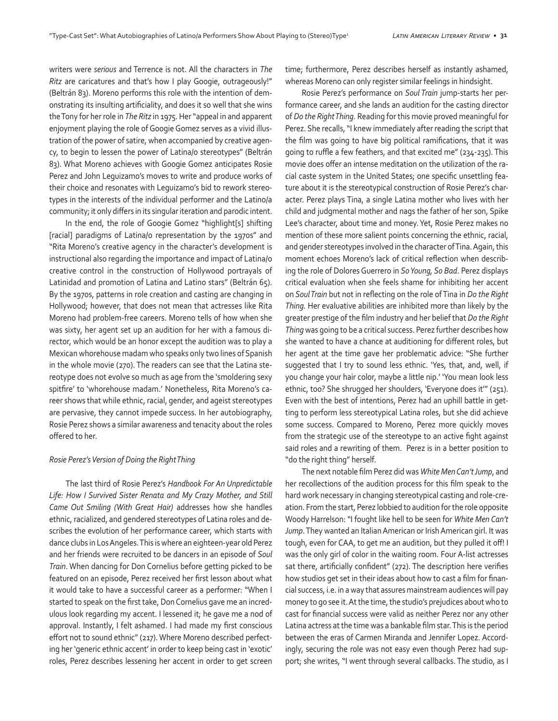writers were *serious* and Terrence is not. All the characters in *The Ritz* are caricatures and that's how I play Googie, outrageously!" (Beltrán 83). Moreno performs this role with the intention of demonstrating its insulting artificiality, and does it so well that she wins the Tony for her role in *The Ritz* in 1975. Her "appeal in and apparent enjoyment playing the role of Googie Gomez serves as a vivid illustration of the power of satire, when accompanied by creative agency, to begin to lessen the power of Latina/o stereotypes" (Beltrán 83). What Moreno achieves with Googie Gomez anticipates Rosie Perez and John Leguizamo's moves to write and produce works of their choice and resonates with Leguizamo's bid to rework stereotypes in the interests of the individual performer and the Latino/a community; it only differs in its singular iteration and parodic intent.

In the end, the role of Googie Gomez "highlight[s] shifting [racial] paradigms of Latina/o representation by the 1970s" and "Rita Moreno's creative agency in the character's development is instructional also regarding the importance and impact of Latina/o creative control in the construction of Hollywood portrayals of Latinidad and promotion of Latina and Latino stars" (Beltrán 65). By the 1970s, patterns in role creation and casting are changing in Hollywood; however, that does not mean that actresses like Rita Moreno had problem-free careers. Moreno tells of how when she was sixty, her agent set up an audition for her with a famous director, which would be an honor except the audition was to play a Mexican whorehouse madam who speaks only two lines of Spanish in the whole movie (270). The readers can see that the Latina stereotype does not evolve so much as age from the 'smoldering sexy spitfire' to 'whorehouse madam.' Nonetheless, Rita Moreno's career shows that while ethnic, racial, gender, and ageist stereotypes are pervasive, they cannot impede success. In her autobiography, Rosie Perez shows a similar awareness and tenacity about the roles offered to her.

# *Rosie Perez's Version of Doing the Right Thing*

The last third of Rosie Perez's *Handbook For An Unpredictable Life: How I Survived Sister Renata and My Crazy Mother, and Still Came Out Smiling (With Great Hair)* addresses how she handles ethnic, racialized, and gendered stereotypes of Latina roles and describes the evolution of her performance career, which starts with dance clubs in Los Angeles. This is where an eighteen-year old Perez and her friends were recruited to be dancers in an episode of *Soul Train*. When dancing for Don Cornelius before getting picked to be featured on an episode, Perez received her first lesson about what it would take to have a successful career as a performer: "When I started to speak on the first take, Don Cornelius gave me an incredulous look regarding my accent. I lessened it; he gave me a nod of approval. Instantly, I felt ashamed. I had made my first conscious effort not to sound ethnic" (217). Where Moreno described perfecting her 'generic ethnic accent' in order to keep being cast in 'exotic' roles, Perez describes lessening her accent in order to get screen time; furthermore, Perez describes herself as instantly ashamed, whereas Moreno can only register similar feelings in hindsight.

Rosie Perez's performance on *Soul Train* jump-starts her performance career, and she lands an audition for the casting director of *Do the Right Thing.* Reading for this movie proved meaningful for Perez. She recalls, "I knew immediately after reading the script that the film was going to have big political ramifications, that it was going to ruffle a few feathers, and that excited me" (234-235). This movie does offer an intense meditation on the utilization of the racial caste system in the United States; one specific unsettling feature about it is the stereotypical construction of Rosie Perez's character. Perez plays Tina, a single Latina mother who lives with her child and judgmental mother and nags the father of her son, Spike Lee's character, about time and money. Yet, Rosie Perez makes no mention of these more salient points concerning the ethnic, racial, and gender stereotypes involved in the character of Tina. Again, this moment echoes Moreno's lack of critical reflection when describing the role of Dolores Guerrero in *So Young, So Bad*. Perez displays critical evaluation when she feels shame for inhibiting her accent on *Soul Train* but not in reflecting on the role of Tina in *Do the Right Thing.* Her evaluative abilities are inhibited more than likely by the greater prestige of the film industry and her belief that *Do the Right Thing* was going to be a critical success. Perez further describes how she wanted to have a chance at auditioning for different roles, but her agent at the time gave her problematic advice: "She further suggested that I try to sound less ethnic. 'Yes, that, and, well, if you change your hair color, maybe a little nip.' 'You mean look less ethnic, too? She shrugged her shoulders, 'Everyone does it'" (251). Even with the best of intentions, Perez had an uphill battle in getting to perform less stereotypical Latina roles, but she did achieve some success. Compared to Moreno, Perez more quickly moves from the strategic use of the stereotype to an active fight against said roles and a rewriting of them. Perez is in a better position to "do the right thing" herself.

The next notable film Perez did was *White Men Can't Jump*, and her recollections of the audition process for this film speak to the hard work necessary in changing stereotypical casting and role-creation. From the start, Perez lobbied to audition for the role opposite Woody Harrelson: "I fought like hell to be seen for *White Men Can't Jump*. They wanted an Italian American or Irish American girl. It was tough, even for CAA, to get me an audition, but they pulled it off! I was the only girl of color in the waiting room. Four A-list actresses sat there, artificially confident" (272). The description here verifies how studios get set in their ideas about how to cast a film for financial success, i.e. in a way that assures mainstream audiences will pay money to go see it. At the time, the studio's prejudices about who to cast for financial success were valid as neither Perez nor any other Latina actress at the time was a bankable film star. This is the period between the eras of Carmen Miranda and Jennifer Lopez. Accordingly, securing the role was not easy even though Perez had support; she writes, "I went through several callbacks. The studio, as I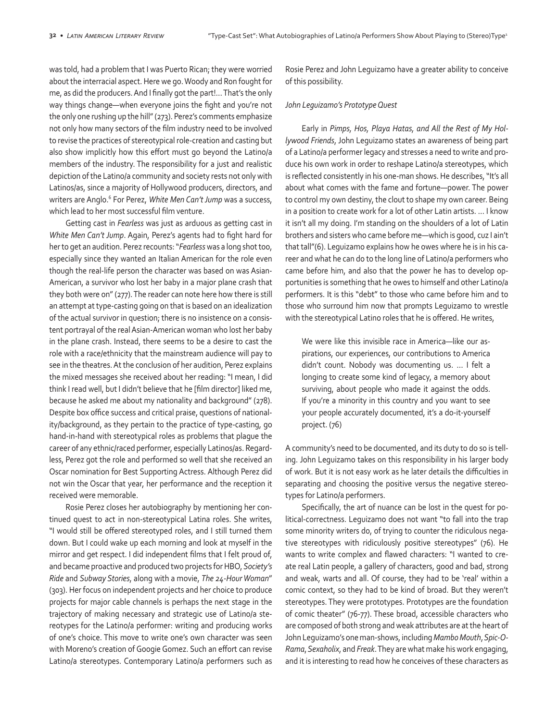was told, had a problem that I was Puerto Rican; they were worried about the interracial aspect. Here we go. Woody and Ron fought for me, as did the producers. And I finally got the part!… That's the only way things change—when everyone joins the fight and you're not the only one rushing up the hill" (273). Perez's comments emphasize not only how many sectors of the film industry need to be involved to revise the practices of stereotypical role-creation and casting but also show implicitly how this effort must go beyond the Latino/a members of the industry. The responsibility for a just and realistic depiction of the Latino/a community and society rests not only with Latinos/as, since a majority of Hollywood producers, directors, and writers are Anglo.<sup>6</sup> For Perez, *White Men Can't Jump* was a success, which lead to her most successful film venture.

Getting cast in *Fearless* was just as arduous as getting cast in *White Men Can't Jump*. Again, Perez's agents had to fight hard for her to get an audition. Perez recounts: "*Fearless* was a long shot too, especially since they wanted an Italian American for the role even though the real-life person the character was based on was Asian-American, a survivor who lost her baby in a major plane crash that they both were on" (277). The reader can note here how there is still an attempt at type-casting going on that is based on an idealization of the actual survivor in question; there is no insistence on a consistent portrayal of the real Asian-American woman who lost her baby in the plane crash. Instead, there seems to be a desire to cast the role with a race/ethnicity that the mainstream audience will pay to see in the theatres. At the conclusion of her audition, Perez explains the mixed messages she received about her reading: "I mean, I did think I read well, but I didn't believe that he [film director] liked me, because he asked me about my nationality and background" (278). Despite box office success and critical praise, questions of nationality/background, as they pertain to the practice of type-casting, go hand-in-hand with stereotypical roles as problems that plague the career of any ethnic/raced performer, especially Latinos/as. Regardless, Perez got the role and performed so well that she received an Oscar nomination for Best Supporting Actress. Although Perez did not win the Oscar that year, her performance and the reception it received were memorable.

Rosie Perez closes her autobiography by mentioning her continued quest to act in non-stereotypical Latina roles. She writes, "I would still be offered stereotyped roles, and I still turned them down. But I could wake up each morning and look at myself in the mirror and get respect. I did independent films that I felt proud of, and became proactive and produced two projects for HBO, *Society's Ride* and *Subway Stories*, along with a movie, *The 24-Hour Woman*" (303). Her focus on independent projects and her choice to produce projects for major cable channels is perhaps the next stage in the trajectory of making necessary and strategic use of Latino/a stereotypes for the Latino/a performer: writing and producing works of one's choice. This move to write one's own character was seen with Moreno's creation of Googie Gomez. Such an effort can revise Latino/a stereotypes. Contemporary Latino/a performers such as

Rosie Perez and John Leguizamo have a greater ability to conceive of this possibility.

### *John Leguizamo's Prototype Quest*

Early in *Pimps, Hos, Playa Hatas, and All the Rest of My Hollywood Friends*, John Leguizamo states an awareness of being part of a Latino/a performer legacy and stresses a need to write and produce his own work in order to reshape Latino/a stereotypes, which is reflected consistently in his one-man shows. He describes, "It's all about what comes with the fame and fortune—power. The power to control my own destiny, the clout to shape my own career. Being in a position to create work for a lot of other Latin artists. … I know it isn't all my doing. I'm standing on the shoulders of a lot of Latin brothers and sisters who came before me—which is good, cuz I ain't that tall"(6). Leguizamo explains how he owes where he is in his career and what he can do to the long line of Latino/a performers who came before him, and also that the power he has to develop opportunities is something that he owes to himself and other Latino/a performers. It is this "debt" to those who came before him and to those who surround him now that prompts Leguizamo to wrestle with the stereotypical Latino roles that he is offered. He writes,

We were like this invisible race in America—like our aspirations, our experiences, our contributions to America didn't count. Nobody was documenting us. … I felt a longing to create some kind of legacy, a memory about surviving, about people who made it against the odds. If you're a minority in this country and you want to see your people accurately documented, it's a do-it-yourself project. (76)

A community's need to be documented, and its duty to do so is telling. John Leguizamo takes on this responsibility in his larger body of work. But it is not easy work as he later details the difficulties in separating and choosing the positive versus the negative stereotypes for Latino/a performers.

Specifically, the art of nuance can be lost in the quest for political-correctness. Leguizamo does not want "to fall into the trap some minority writers do, of trying to counter the ridiculous negative stereotypes with ridiculously positive stereotypes" (76). He wants to write complex and flawed characters: "I wanted to create real Latin people, a gallery of characters, good and bad, strong and weak, warts and all. Of course, they had to be 'real' within a comic context, so they had to be kind of broad. But they weren't stereotypes. They were prototypes. Prototypes are the foundation of comic theater" (76-77). These broad, accessible characters who are composed of both strong and weak attributes are at the heart of John Leguizamo's one man-shows, including *Mambo Mouth*, *Spic-O-Rama*, *Sexaholix*, and *Freak*. They are what make his work engaging, and it is interesting to read how he conceives of these characters as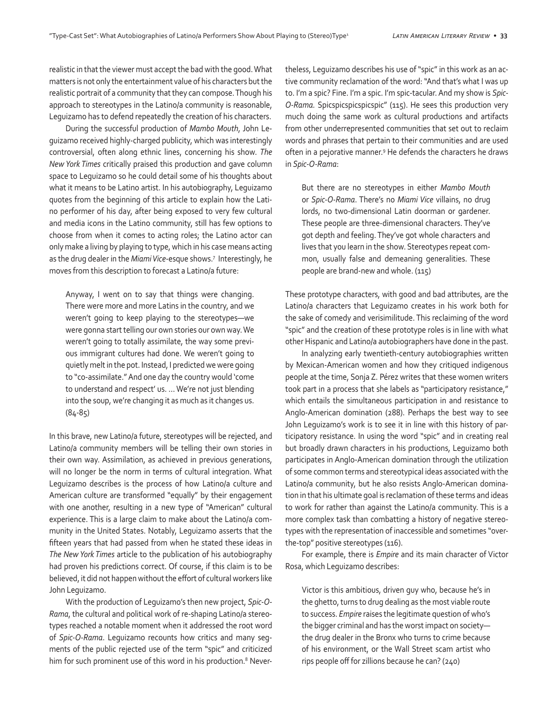realistic in that the viewer must accept the bad with the good. What matters is not only the entertainment value of his characters but the realistic portrait of a community that they can compose. Though his approach to stereotypes in the Latino/a community is reasonable, Leguizamo has to defend repeatedly the creation of his characters.

During the successful production of *Mambo Mouth*, John Leguizamo received highly-charged publicity, which was interestingly controversial, often along ethnic lines, concerning his show. *The New York Times* critically praised this production and gave column space to Leguizamo so he could detail some of his thoughts about what it means to be Latino artist. In his autobiography, Leguizamo quotes from the beginning of this article to explain how the Latino performer of his day, after being exposed to very few cultural and media icons in the Latino community, still has few options to choose from when it comes to acting roles; the Latino actor can only make a living by playing to type, which in his case means acting as the drug dealer in the *Miami Vice*-esque shows.7 Interestingly, he moves from this description to forecast a Latino/a future:

Anyway, I went on to say that things were changing. There were more and more Latins in the country, and we weren't going to keep playing to the stereotypes—we were gonna start telling our own stories our own way. We weren't going to totally assimilate, the way some previous immigrant cultures had done. We weren't going to quietly melt in the pot. Instead, I predicted we were going to "co-assimilate." And one day the country would 'come to understand and respect' us. … We're not just blending into the soup, we're changing it as much as it changes us. (84-85)

In this brave, new Latino/a future, stereotypes will be rejected, and Latino/a community members will be telling their own stories in their own way. Assimilation, as achieved in previous generations, will no longer be the norm in terms of cultural integration. What Leguizamo describes is the process of how Latino/a culture and American culture are transformed "equally" by their engagement with one another, resulting in a new type of "American" cultural experience. This is a large claim to make about the Latino/a community in the United States. Notably, Leguizamo asserts that the fifteen years that had passed from when he stated these ideas in *The New York Times* article to the publication of his autobiography had proven his predictions correct. Of course, if this claim is to be believed, it did not happen without the effort of cultural workers like John Leguizamo.

With the production of Leguizamo's then new project, *Spic-O-Rama*, the cultural and political work of re-shaping Latino/a stereotypes reached a notable moment when it addressed the root word of *Spic-O-Rama*. Leguizamo recounts how critics and many segments of the public rejected use of the term "spic" and criticized him for such prominent use of this word in his production.<sup>8</sup> Nevertheless, Leguizamo describes his use of "spic" in this work as an active community reclamation of the word: "And that's what I was up to. I'm a spic? Fine. I'm a spic. I'm spic-tacular. And my show is *Spic-O-Rama.* Spicspicspicspicspic" (115). He sees this production very much doing the same work as cultural productions and artifacts from other underrepresented communities that set out to reclaim words and phrases that pertain to their communities and are used often in a pejorative manner.9 He defends the characters he draws in *Spic-O-Rama*:

But there are no stereotypes in either *Mambo Mouth* or *Spic-O-Rama*. There's no *Miami Vice* villains, no drug lords, no two-dimensional Latin doorman or gardener. These people are three-dimensional characters. They've got depth and feeling. They've got whole characters and lives that you learn in the show. Stereotypes repeat common, usually false and demeaning generalities. These people are brand-new and whole. (115)

These prototype characters, with good and bad attributes, are the Latino/a characters that Leguizamo creates in his work both for the sake of comedy and verisimilitude. This reclaiming of the word "spic" and the creation of these prototype roles is in line with what other Hispanic and Latino/a autobiographers have done in the past.

In analyzing early twentieth-century autobiographies written by Mexican-American women and how they critiqued indigenous people at the time, Sonja Z. Pérez writes that these women writers took part in a process that she labels as "participatory resistance," which entails the simultaneous participation in and resistance to Anglo-American domination (288). Perhaps the best way to see John Leguizamo's work is to see it in line with this history of participatory resistance. In using the word "spic" and in creating real but broadly drawn characters in his productions, Leguizamo both participates in Anglo-American domination through the utilization of some common terms and stereotypical ideas associated with the Latino/a community, but he also resists Anglo-American domination in that his ultimate goal is reclamation of these terms and ideas to work for rather than against the Latino/a community. This is a more complex task than combatting a history of negative stereotypes with the representation of inaccessible and sometimes "overthe-top" positive stereotypes (116).

For example, there is *Empire* and its main character of Victor Rosa, which Leguizamo describes:

Victor is this ambitious, driven guy who, because he's in the ghetto, turns to drug dealing as the most viable route to success. *Empire* raises the legitimate question of who's the bigger criminal and has the worst impact on society the drug dealer in the Bronx who turns to crime because of his environment, or the Wall Street scam artist who rips people off for zillions because he can? (240)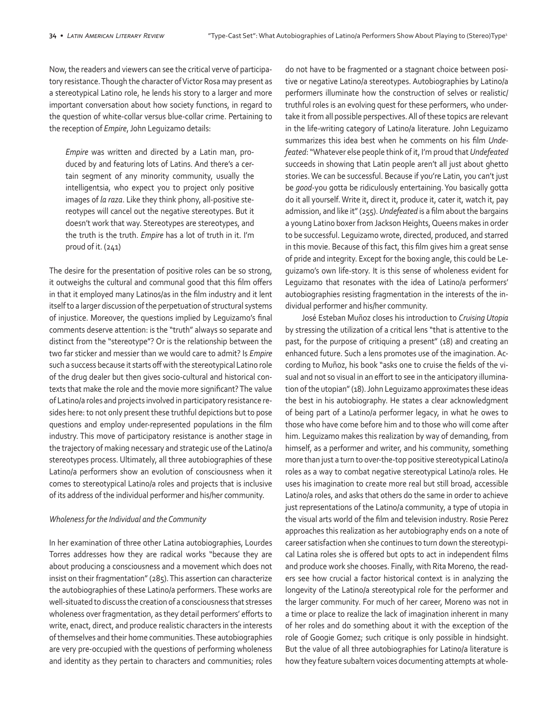Now, the readers and viewers can see the critical verve of participatory resistance. Though the character of Victor Rosa may present as a stereotypical Latino role, he lends his story to a larger and more important conversation about how society functions, in regard to the question of white-collar versus blue-collar crime. Pertaining to the reception of *Empire*, John Leguizamo details:

*Empire* was written and directed by a Latin man, produced by and featuring lots of Latins. And there's a certain segment of any minority community, usually the intelligentsia, who expect you to project only positive images of *la raza*. Like they think phony, all-positive stereotypes will cancel out the negative stereotypes. But it doesn't work that way. Stereotypes are stereotypes, and the truth is the truth. *Empire* has a lot of truth in it. I'm proud of it. (241)

The desire for the presentation of positive roles can be so strong, it outweighs the cultural and communal good that this film offers in that it employed many Latinos/as in the film industry and it lent itself to a larger discussion of the perpetuation of structural systems of injustice. Moreover, the questions implied by Leguizamo's final comments deserve attention: is the "truth" always so separate and distinct from the "stereotype"? Or is the relationship between the two far sticker and messier than we would care to admit? Is *Empire*  such a success because it starts off with the stereotypical Latino role of the drug dealer but then gives socio-cultural and historical contexts that make the role and the movie more significant? The value of Latino/a roles and projects involved in participatory resistance resides here: to not only present these truthful depictions but to pose questions and employ under-represented populations in the film industry. This move of participatory resistance is another stage in the trajectory of making necessary and strategic use of the Latino/a stereotypes process. Ultimately, all three autobiographies of these Latino/a performers show an evolution of consciousness when it comes to stereotypical Latino/a roles and projects that is inclusive of its address of the individual performer and his/her community.

#### *Wholeness for the Individual and the Community*

In her examination of three other Latina autobiographies, Lourdes Torres addresses how they are radical works "because they are about producing a consciousness and a movement which does not insist on their fragmentation" (285). This assertion can characterize the autobiographies of these Latino/a performers. These works are well-situated to discuss the creation of a consciousness that stresses wholeness over fragmentation, as they detail performers' efforts to write, enact, direct, and produce realistic characters in the interests of themselves and their home communities. These autobiographies are very pre-occupied with the questions of performing wholeness and identity as they pertain to characters and communities; roles do not have to be fragmented or a stagnant choice between positive or negative Latino/a stereotypes. Autobiographies by Latino/a performers illuminate how the construction of selves or realistic/ truthful roles is an evolving quest for these performers, who undertake it from all possible perspectives. All of these topics are relevant in the life-writing category of Latino/a literature. John Leguizamo summarizes this idea best when he comments on his film *Undefeated*: "Whatever else people think of it, I'm proud that *Undefeated*  succeeds in showing that Latin people aren't all just about ghetto stories. We can be successful. Because if you're Latin, you can't just be *good*-you gotta be ridiculously entertaining. You basically gotta do it all yourself. Write it, direct it, produce it, cater it, watch it, pay admission, and like it" (255). *Undefeated* is a film about the bargains a young Latino boxer from Jackson Heights, Queens makes in order to be successful. Leguizamo wrote, directed, produced, and starred in this movie. Because of this fact, this film gives him a great sense of pride and integrity. Except for the boxing angle, this could be Leguizamo's own life-story. It is this sense of wholeness evident for Leguizamo that resonates with the idea of Latino/a performers' autobiographies resisting fragmentation in the interests of the individual performer and his/her community.

José Esteban Muñoz closes his introduction to *Cruising Utopia*  by stressing the utilization of a critical lens "that is attentive to the past, for the purpose of critiquing a present" (18) and creating an enhanced future. Such a lens promotes use of the imagination. According to Muñoz, his book "asks one to cruise the fields of the visual and not so visual in an effort to see in the anticipatory illumination of the utopian" (18). John Leguizamo approximates these ideas the best in his autobiography. He states a clear acknowledgment of being part of a Latino/a performer legacy, in what he owes to those who have come before him and to those who will come after him. Leguizamo makes this realization by way of demanding, from himself, as a performer and writer, and his community, something more than just a turn to over-the-top positive stereotypical Latino/a roles as a way to combat negative stereotypical Latino/a roles. He uses his imagination to create more real but still broad, accessible Latino/a roles, and asks that others do the same in order to achieve just representations of the Latino/a community, a type of utopia in the visual arts world of the film and television industry. Rosie Perez approaches this realization as her autobiography ends on a note of career satisfaction when she continues to turn down the stereotypical Latina roles she is offered but opts to act in independent films and produce work she chooses. Finally, with Rita Moreno, the readers see how crucial a factor historical context is in analyzing the longevity of the Latino/a stereotypical role for the performer and the larger community. For much of her career, Moreno was not in a time or place to realize the lack of imagination inherent in many of her roles and do something about it with the exception of the role of Googie Gomez; such critique is only possible in hindsight. But the value of all three autobiographies for Latino/a literature is how they feature subaltern voices documenting attempts at whole